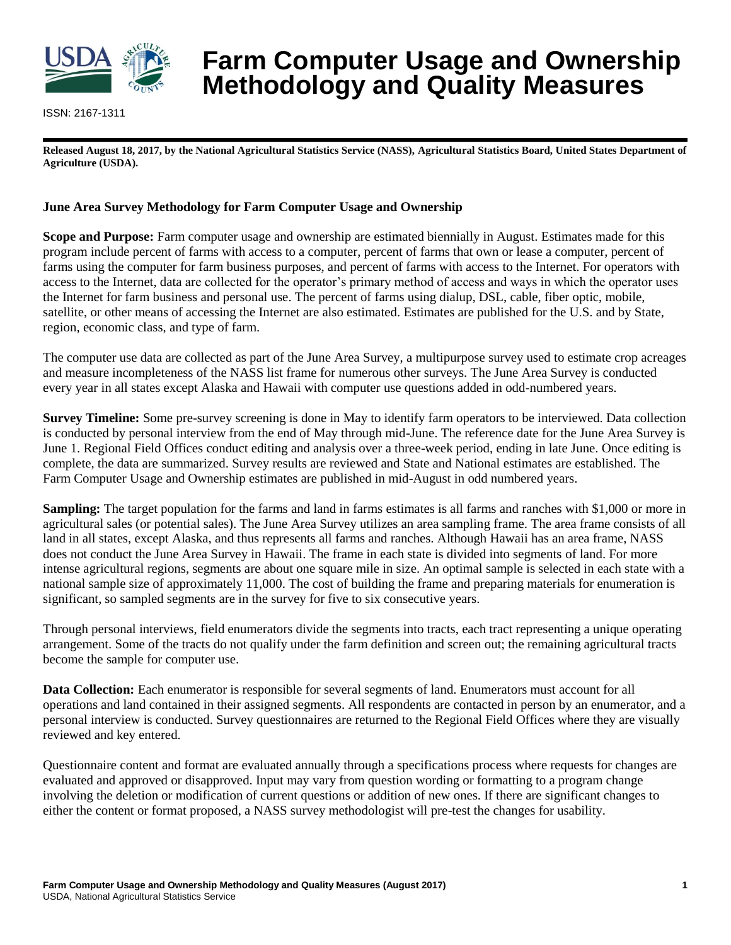

ISSN: 2167-1311

# **Farm Computer Usage and Ownership Methodology and Quality Measures**

**Released August 18, 2017, by the National Agricultural Statistics Service (NASS), Agricultural Statistics Board, United States Department of Agriculture (USDA).**

# **June Area Survey Methodology for Farm Computer Usage and Ownership**

**Scope and Purpose:** Farm computer usage and ownership are estimated biennially in August. Estimates made for this program include percent of farms with access to a computer, percent of farms that own or lease a computer, percent of farms using the computer for farm business purposes, and percent of farms with access to the Internet. For operators with access to the Internet, data are collected for the operator's primary method of access and ways in which the operator uses the Internet for farm business and personal use. The percent of farms using dialup, DSL, cable, fiber optic, mobile, satellite, or other means of accessing the Internet are also estimated. Estimates are published for the U.S. and by State, region, economic class, and type of farm.

The computer use data are collected as part of the June Area Survey, a multipurpose survey used to estimate crop acreages and measure incompleteness of the NASS list frame for numerous other surveys. The June Area Survey is conducted every year in all states except Alaska and Hawaii with computer use questions added in odd-numbered years.

**Survey Timeline:** Some pre-survey screening is done in May to identify farm operators to be interviewed. Data collection is conducted by personal interview from the end of May through mid-June. The reference date for the June Area Survey is June 1. Regional Field Offices conduct editing and analysis over a three-week period, ending in late June. Once editing is complete, the data are summarized. Survey results are reviewed and State and National estimates are established. The Farm Computer Usage and Ownership estimates are published in mid-August in odd numbered years.

**Sampling:** The target population for the farms and land in farms estimates is all farms and ranches with \$1,000 or more in agricultural sales (or potential sales). The June Area Survey utilizes an area sampling frame. The area frame consists of all land in all states, except Alaska, and thus represents all farms and ranches. Although Hawaii has an area frame, NASS does not conduct the June Area Survey in Hawaii. The frame in each state is divided into segments of land. For more intense agricultural regions, segments are about one square mile in size. An optimal sample is selected in each state with a national sample size of approximately 11,000. The cost of building the frame and preparing materials for enumeration is significant, so sampled segments are in the survey for five to six consecutive years.

Through personal interviews, field enumerators divide the segments into tracts, each tract representing a unique operating arrangement. Some of the tracts do not qualify under the farm definition and screen out; the remaining agricultural tracts become the sample for computer use.

**Data Collection:** Each enumerator is responsible for several segments of land. Enumerators must account for all operations and land contained in their assigned segments. All respondents are contacted in person by an enumerator, and a personal interview is conducted. Survey questionnaires are returned to the Regional Field Offices where they are visually reviewed and key entered.

Questionnaire content and format are evaluated annually through a specifications process where requests for changes are evaluated and approved or disapproved. Input may vary from question wording or formatting to a program change involving the deletion or modification of current questions or addition of new ones. If there are significant changes to either the content or format proposed, a NASS survey methodologist will pre-test the changes for usability.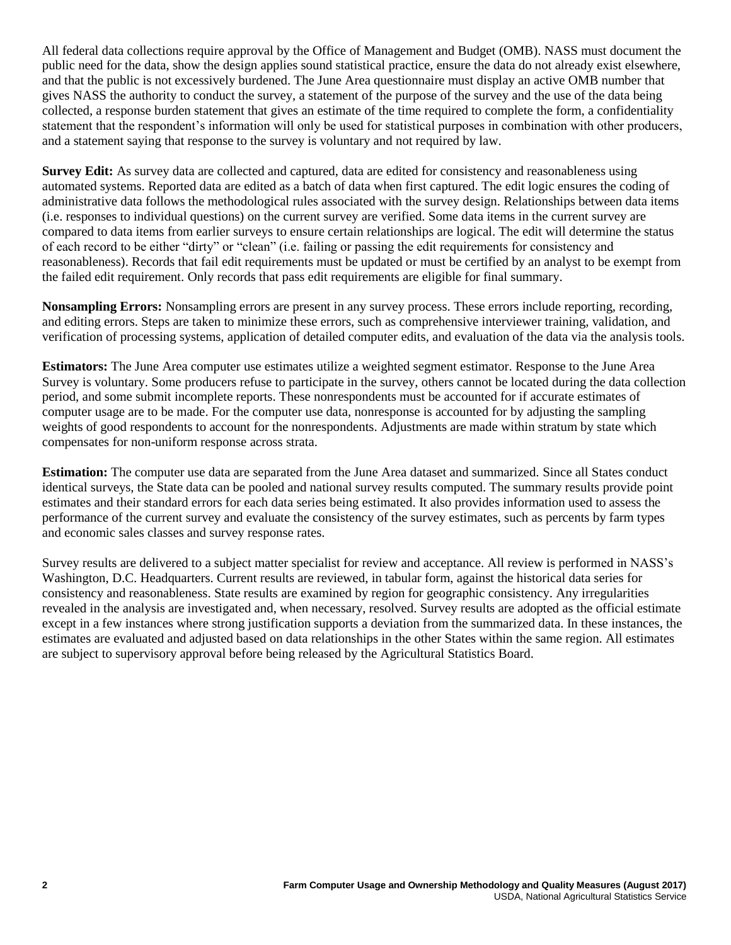All federal data collections require approval by the Office of Management and Budget (OMB). NASS must document the public need for the data, show the design applies sound statistical practice, ensure the data do not already exist elsewhere, and that the public is not excessively burdened. The June Area questionnaire must display an active OMB number that gives NASS the authority to conduct the survey, a statement of the purpose of the survey and the use of the data being collected, a response burden statement that gives an estimate of the time required to complete the form, a confidentiality statement that the respondent's information will only be used for statistical purposes in combination with other producers, and a statement saying that response to the survey is voluntary and not required by law.

**Survey Edit:** As survey data are collected and captured, data are edited for consistency and reasonableness using automated systems. Reported data are edited as a batch of data when first captured. The edit logic ensures the coding of administrative data follows the methodological rules associated with the survey design. Relationships between data items (i.e. responses to individual questions) on the current survey are verified. Some data items in the current survey are compared to data items from earlier surveys to ensure certain relationships are logical. The edit will determine the status of each record to be either "dirty" or "clean" (i.e. failing or passing the edit requirements for consistency and reasonableness). Records that fail edit requirements must be updated or must be certified by an analyst to be exempt from the failed edit requirement. Only records that pass edit requirements are eligible for final summary.

**Nonsampling Errors:** Nonsampling errors are present in any survey process. These errors include reporting, recording, and editing errors. Steps are taken to minimize these errors, such as comprehensive interviewer training, validation, and verification of processing systems, application of detailed computer edits, and evaluation of the data via the analysis tools.

**Estimators:** The June Area computer use estimates utilize a weighted segment estimator. Response to the June Area Survey is voluntary. Some producers refuse to participate in the survey, others cannot be located during the data collection period, and some submit incomplete reports. These nonrespondents must be accounted for if accurate estimates of computer usage are to be made. For the computer use data, nonresponse is accounted for by adjusting the sampling weights of good respondents to account for the nonrespondents. Adjustments are made within stratum by state which compensates for non-uniform response across strata.

**Estimation:** The computer use data are separated from the June Area dataset and summarized. Since all States conduct identical surveys, the State data can be pooled and national survey results computed. The summary results provide point estimates and their standard errors for each data series being estimated. It also provides information used to assess the performance of the current survey and evaluate the consistency of the survey estimates, such as percents by farm types and economic sales classes and survey response rates.

Survey results are delivered to a subject matter specialist for review and acceptance. All review is performed in NASS's Washington, D.C. Headquarters. Current results are reviewed, in tabular form, against the historical data series for consistency and reasonableness. State results are examined by region for geographic consistency. Any irregularities revealed in the analysis are investigated and, when necessary, resolved. Survey results are adopted as the official estimate except in a few instances where strong justification supports a deviation from the summarized data. In these instances, the estimates are evaluated and adjusted based on data relationships in the other States within the same region. All estimates are subject to supervisory approval before being released by the Agricultural Statistics Board.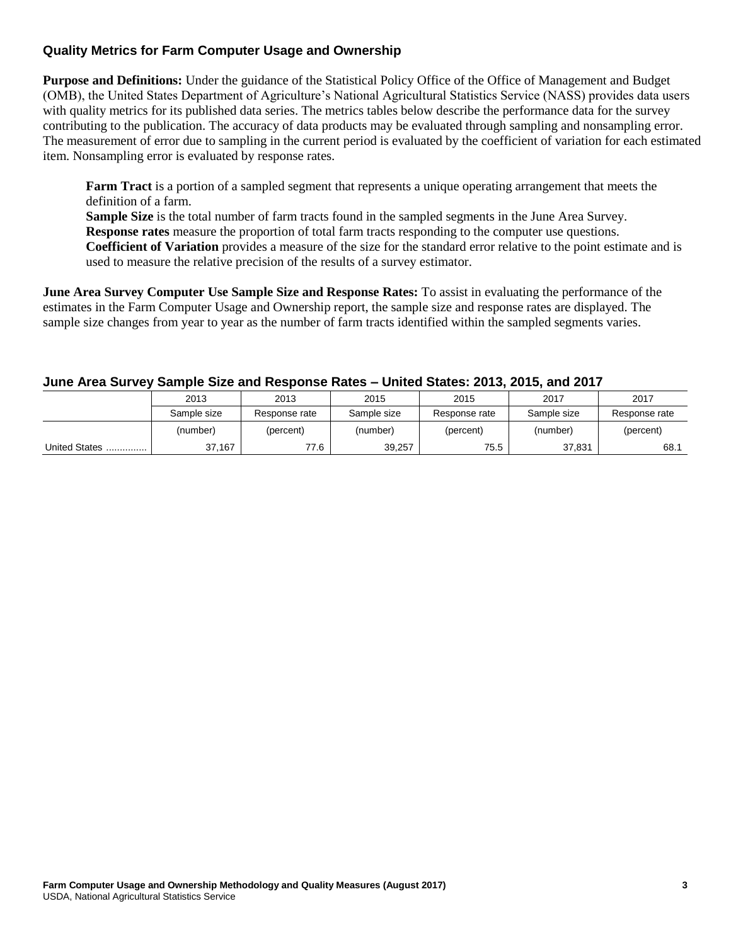# **Quality Metrics for Farm Computer Usage and Ownership**

**Purpose and Definitions:** Under the guidance of the Statistical Policy Office of the Office of Management and Budget (OMB), the United States Department of Agriculture's National Agricultural Statistics Service (NASS) provides data users with quality metrics for its published data series. The metrics tables below describe the performance data for the survey contributing to the publication. The accuracy of data products may be evaluated through sampling and nonsampling error. The measurement of error due to sampling in the current period is evaluated by the coefficient of variation for each estimated item. Nonsampling error is evaluated by response rates.

**Farm Tract** is a portion of a sampled segment that represents a unique operating arrangement that meets the definition of a farm.

**Sample Size** is the total number of farm tracts found in the sampled segments in the June Area Survey. **Response rates** measure the proportion of total farm tracts responding to the computer use questions. **Coefficient of Variation** provides a measure of the size for the standard error relative to the point estimate and is used to measure the relative precision of the results of a survey estimator.

**June Area Survey Computer Use Sample Size and Response Rates:** To assist in evaluating the performance of the estimates in the Farm Computer Usage and Ownership report, the sample size and response rates are displayed. The sample size changes from year to year as the number of farm tracts identified within the sampled segments varies.

#### **June Area Survey Sample Size and Response Rates – United States: 2013, 2015, and 2017**

|               | 2013        | 2013          | 2015        | 2015          | 2017        | 2017          |
|---------------|-------------|---------------|-------------|---------------|-------------|---------------|
|               | Sample size | Response rate | Sample size | Response rate | Sample size | Response rate |
|               | (number)    | (percent)     | (number)    | (percent)     | (number)    | (percent)     |
| United States | 37,167      | 77.6          | 39,257      | 75.5          | 37,831      | 68.1          |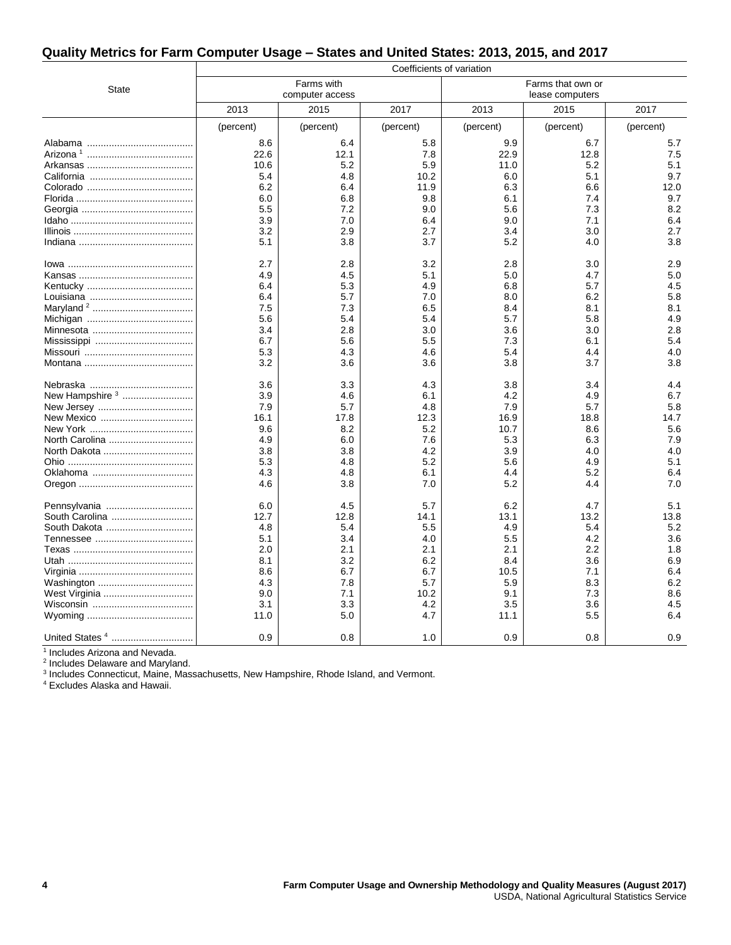## **Quality Metrics for Farm Computer Usage – States and United States: 2013, 2015, and 2017**

|                            | Coefficients of variation |                 |           |                   |           |           |
|----------------------------|---------------------------|-----------------|-----------|-------------------|-----------|-----------|
|                            |                           | Farms with      |           | Farms that own or |           |           |
| <b>State</b>               |                           | computer access |           | lease computers   |           |           |
|                            | 2013                      | 2015            | 2017      | 2013              | 2015      | 2017      |
|                            | (percent)                 | (percent)       | (percent) | (percent)         | (percent) | (percent) |
|                            | 8.6                       | 6.4             | 5.8       | 9.9               | 6.7       | 5.7       |
|                            | 22.6                      | 12.1            | 7.8       | 22.9              | 12.8      | 7.5       |
|                            | 10.6                      | 5.2             | 5.9       | 11.0              | 5.2       | 5.1       |
|                            | 5.4                       | 4.8             | 10.2      | 6.0               | 5.1       | 9.7       |
|                            | 6.2                       | 6.4             | 11.9      | 6.3               | 6.6       | 12.0      |
|                            | 6.0                       | 6.8             | 9.8       | 6.1               | 7.4       | 9.7       |
|                            | 5.5                       | 7.2             | 9.0       | 5.6               | 7.3       | 8.2       |
|                            | 3.9                       | 7.0             | 6.4       | 9.0               | 7.1       | 6.4       |
|                            | 3.2                       | 2.9             | 2.7       | 3.4               | 3.0       | 2.7       |
|                            | 5.1                       | 3.8             | 3.7       | 5.2               | 4.0       | 3.8       |
|                            | 2.7                       | 2.8             | 3.2       | 2.8               | 3.0       | 2.9       |
|                            | 4.9                       | 4.5             | 5.1       | 5.0               | 4.7       | 5.0       |
|                            | 6.4                       | 5.3             | 4.9       | 6.8               | 5.7       | 4.5       |
|                            | 6.4                       | 5.7             | 7.0       | 8.0               | 6.2       | 5.8       |
|                            | 7.5                       | 7.3             | 6.5       | 8.4               | 8.1       | 8.1       |
|                            | 5.6                       | 5.4             | 5.4       | 5.7               | 5.8       | 4.9       |
|                            | 3.4                       | 2.8             | 3.0       | 3.6               | 3.0       | 2.8       |
|                            | 6.7                       | 5.6             | 5.5       | 7.3               | 6.1       | 5.4       |
|                            | 5.3                       | 4.3             | 4.6       | 5.4               | 4.4       | 4.0       |
|                            | 3.2                       | 3.6             | 3.6       | 3.8               | 3.7       | 3.8       |
|                            | 3.6                       | 3.3             | 4.3       | 3.8               | 3.4       | 4.4       |
| New Hampshire <sup>3</sup> | 3.9                       | 4.6             | 6.1       | 4.2               | 4.9       | 6.7       |
|                            | 7.9                       | 5.7             | 4.8       | 7.9               | 5.7       | 5.8       |
| New Mexico                 | 16.1                      | 17.8            | 12.3      | 16.9              | 18.8      | 14.7      |
|                            | 9.6                       | 8.2             | 5.2       | 10.7              | 8.6       | 5.6       |
| North Carolina             | 4.9                       | 6.0             | 7.6       | 5.3               | 6.3       | 7.9       |
| North Dakota               | 3.8                       | 3.8             | 4.2       | 3.9               | 4.0       | 4.0       |
|                            | 5.3                       | 4.8             | 5.2       | 5.6               | 4.9       | 5.1       |
|                            | 4.3                       | 4.8             | 6.1       | 4.4               | 5.2       | 6.4       |
|                            | 4.6                       | 3.8             | 7.0       | 5.2               | 4.4       | 7.0       |
| Pennsylvania               | 6.0                       | 4.5             | 5.7       | 6.2               | 4.7       | 5.1       |
| South Carolina             | 12.7                      | 12.8            | 14.1      | 13.1              | 13.2      | 13.8      |
| South Dakota               | 4.8                       | 5.4             | 5.5       | 4.9               | 5.4       | 5.2       |
|                            | 5.1                       | 3.4             | 4.0       | 5.5               | 4.2       | 3.6       |
|                            | 2.0                       | 2.1             | 2.1       | 2.1               | 2.2       | 1.8       |
|                            | 8.1                       | 3.2             | 6.2       | 8.4               | 3.6       | 6.9       |
|                            | 8.6                       | 6.7             | 6.7       | 10.5              | 7.1       | 6.4       |
|                            | 4.3                       | 7.8             | 5.7       | 5.9               | 8.3       | 6.2       |
| West Virginia              | 9.0                       | 7.1             | 10.2      | 9.1               | 7.3       | 8.6       |
|                            | 3.1                       | 3.3             | 4.2       | 3.5               | 3.6       | 4.5       |
|                            | 11.0                      | 5.0             | 4.7       | 11.1              | 5.5       | 6.4       |
| United States <sup>4</sup> | 0.9                       | 0.8             | 1.0       | 0.9               | 0.8       | 0.9       |

<sup>1</sup> Includes Arizona and Nevada.

<sup>2</sup> Includes Delaware and Maryland.

<sup>3</sup> Includes Connecticut, Maine, Massachusetts, New Hampshire, Rhode Island, and Vermont.

<sup>4</sup> Excludes Alaska and Hawaii.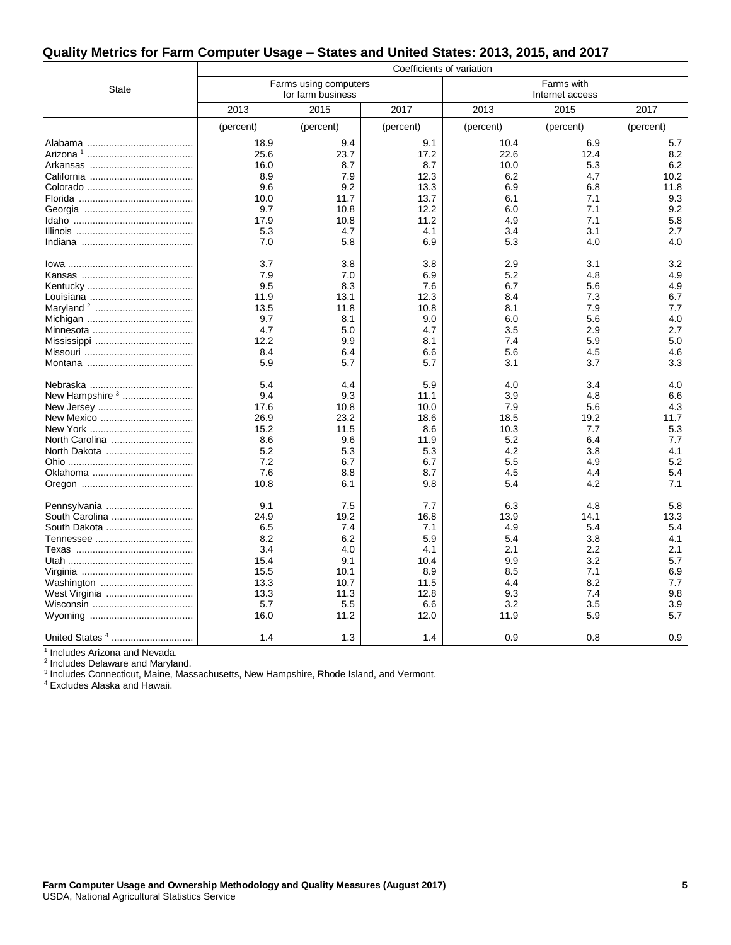## **Quality Metrics for Farm Computer Usage – States and United States: 2013, 2015, and 2017**

|                             | Coefficients of variation |                       |              |                 |            |            |
|-----------------------------|---------------------------|-----------------------|--------------|-----------------|------------|------------|
| <b>State</b>                |                           | Farms using computers |              | Farms with      |            |            |
|                             | for farm business         |                       |              | Internet access |            |            |
|                             | 2013                      | 2015                  | 2017         | 2013            | 2015       | 2017       |
|                             | (percent)                 | (percent)             | (percent)    | (percent)       | (percent)  | (percent)  |
|                             | 18.9                      | 9.4                   | 9.1          | 10.4            | 6.9        | 5.7        |
|                             | 25.6                      | 23.7                  | 17.2         | 22.6            | 12.4       | 8.2        |
|                             | 16.0                      | 8.7                   | 8.7          | 10.0            | 5.3        | 6.2        |
|                             | 8.9                       | 7.9                   | 12.3         | 6.2             | 4.7        | 10.2       |
|                             | 9.6                       | 9.2                   | 13.3         | 6.9             | 6.8        | 11.8       |
|                             | 10.0<br>9.7               | 11.7<br>10.8          | 13.7<br>12.2 | 6.1<br>6.0      | 7.1<br>7.1 | 9.3<br>9.2 |
|                             | 17.9                      | 10.8                  | 11.2         | 4.9             | 7.1        | 5.8        |
|                             | 5.3                       | 4.7                   | 4.1          | 3.4             | 3.1        | 2.7        |
|                             | 7.0                       | 5.8                   | 6.9          | 5.3             | 4.0        | 4.0        |
|                             |                           |                       |              |                 |            |            |
|                             | 3.7                       | 3.8                   | 3.8          | 2.9             | 3.1        | 3.2        |
|                             | 7.9                       | 7.0                   | 6.9          | 5.2             | 4.8        | 4.9        |
|                             | 9.5                       | 8.3                   | 7.6          | 6.7             | 5.6        | 4.9        |
|                             | 11.9                      | 13.1                  | 12.3         | 8.4             | 7.3        | 6.7        |
|                             | 13.5                      | 11.8                  | 10.8         | 8.1             | 7.9        | 7.7        |
|                             | 9.7                       | 8.1                   | 9.0          | 6.0             | 5.6        | 4.0        |
|                             | 4.7<br>12.2               | 5.0<br>9.9            | 4.7<br>8.1   | 3.5<br>7.4      | 2.9<br>5.9 | 2.7<br>5.0 |
|                             | 8.4                       | 6.4                   | 6.6          | 5.6             | 4.5        | 4.6        |
|                             | 5.9                       | 5.7                   | 5.7          | 3.1             | 3.7        | 3.3        |
|                             |                           |                       |              |                 |            |            |
|                             | 5.4                       | 4.4                   | 5.9          | 4.0             | 3.4        | 4.0        |
| New Hampshire <sup>3</sup>  | 9.4                       | 9.3                   | 11.1         | 3.9             | 4.8        | 6.6        |
|                             | 17.6                      | 10.8                  | 10.0         | 7.9             | 5.6        | 4.3        |
| New Mexico                  | 26.9                      | 23.2                  | 18.6         | 18.5            | 19.2       | 11.7       |
|                             | 15.2                      | 11.5                  | 8.6          | 10.3            | 7.7        | 5.3        |
| North Carolina              | 8.6                       | 9.6                   | 11.9         | 5.2             | 6.4        | 7.7        |
| North Dakota                | 5.2<br>7.2                | 5.3<br>6.7            | 5.3<br>6.7   | 4.2<br>5.5      | 3.8<br>4.9 | 4.1<br>5.2 |
|                             | 7.6                       | 8.8                   | 8.7          | 4.5             | 4.4        | 5.4        |
|                             | 10.8                      | 6.1                   | 9.8          | 5.4             | 4.2        | 7.1        |
|                             |                           |                       |              |                 |            |            |
| Pennsylvania                | 9.1                       | 7.5                   | 7.7          | 6.3             | 4.8        | 5.8        |
| South Carolina              | 24.9                      | 19.2                  | 16.8         | 13.9            | 14.1       | 13.3       |
| South Dakota                | 6.5                       | 7.4                   | 7.1          | 4.9             | 5.4        | 5.4        |
|                             | 8.2                       | 6.2                   | 5.9          | 5.4             | 3.8        | 4.1        |
|                             | 3.4                       | 4.0                   | 4.1          | 2.1             | 2.2        | 2.1        |
|                             | 15.4                      | 9.1                   | 10.4         | 9.9             | 3.2        | 5.7        |
|                             | 15.5                      | 10.1<br>10.7          | 8.9<br>11.5  | 8.5<br>4.4      | 7.1<br>8.2 | 6.9<br>7.7 |
| Washington<br>West Virginia | 13.3<br>13.3              | 11.3                  | 12.8         | 9.3             | 7.4        | 9.8        |
|                             | 5.7                       | $5.5\,$               | 6.6          | 3.2             | 3.5        | 3.9        |
|                             | 16.0                      | 11.2                  | 12.0         | 11.9            | 5.9        | 5.7        |
|                             |                           |                       |              |                 |            |            |
| United States <sup>4</sup>  | 1.4                       | 1.3                   | 1.4          | 0.9             | 0.8        | 0.9        |

<sup>1</sup> Includes Arizona and Nevada.

<sup>2</sup> Includes Delaware and Maryland.

<sup>3</sup> Includes Connecticut, Maine, Massachusetts, New Hampshire, Rhode Island, and Vermont.

<sup>4</sup> Excludes Alaska and Hawaii.